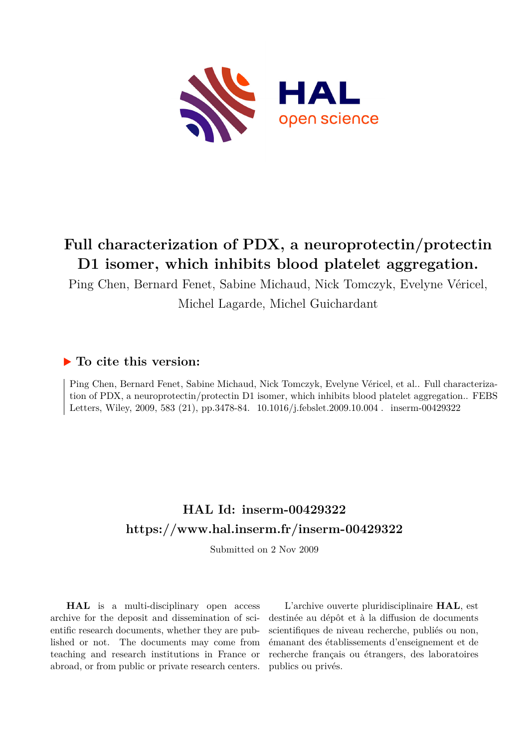

# **Full characterization of PDX, a neuroprotectin/protectin D1 isomer, which inhibits blood platelet aggregation.**

Ping Chen, Bernard Fenet, Sabine Michaud, Nick Tomczyk, Evelyne Véricel, Michel Lagarde, Michel Guichardant

## **To cite this version:**

Ping Chen, Bernard Fenet, Sabine Michaud, Nick Tomczyk, Evelyne Véricel, et al.. Full characterization of PDX, a neuroprotectin/protectin D1 isomer, which inhibits blood platelet aggregation.. FEBS Letters, Wiley, 2009, 583 (21), pp.3478-84.  $10.1016/j.febslet.2009.10.004$ . inserm-00429322

## **HAL Id: inserm-00429322 <https://www.hal.inserm.fr/inserm-00429322>**

Submitted on 2 Nov 2009

**HAL** is a multi-disciplinary open access archive for the deposit and dissemination of scientific research documents, whether they are published or not. The documents may come from teaching and research institutions in France or abroad, or from public or private research centers.

L'archive ouverte pluridisciplinaire **HAL**, est destinée au dépôt et à la diffusion de documents scientifiques de niveau recherche, publiés ou non, émanant des établissements d'enseignement et de recherche français ou étrangers, des laboratoires publics ou privés.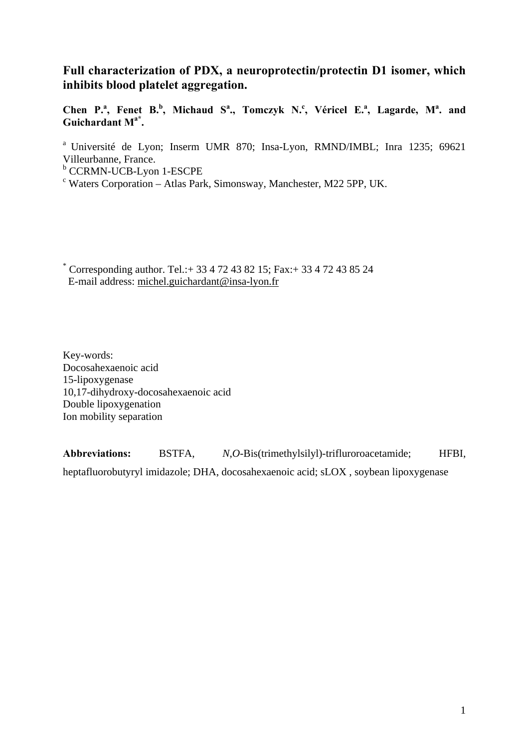## **Full characterization of PDX, a neuroprotectin/protectin D1 isomer, which inhibits blood platelet aggregation.**

Chen P.<sup>a</sup>, Fenet B.<sup>b</sup>, Michaud S<sup>a</sup>., Tomczyk N.<sup>c</sup>, Véricel E.<sup>a</sup>, Lagarde, M<sup>a</sup>. and **Guichardant Ma\*.** 

a Université de Lyon; Inserm UMR 870; Insa-Lyon, RMND/IMBL; Inra 1235; 69621 Villeurbanne, France.

<sup>b</sup> CCRMN-UCB-Lyon 1-ESCPE

c Waters Corporation – Atlas Park, Simonsway, Manchester, M22 5PP, UK.

\* Corresponding author. Tel.:+ 33 4 72 43 82 15; Fax:+ 33 4 72 43 85 24 E-mail address: michel.guichardant@insa-lyon.fr

Key-words: Docosahexaenoic acid 15-lipoxygenase 10,17-dihydroxy-docosahexaenoic acid Double lipoxygenation Ion mobility separation

**Abbreviations:** BSTFA, *N*,*O*-Bis(trimethylsilyl)-trifluroroacetamide; HFBI, heptafluorobutyryl imidazole; DHA, docosahexaenoic acid; sLOX , soybean lipoxygenase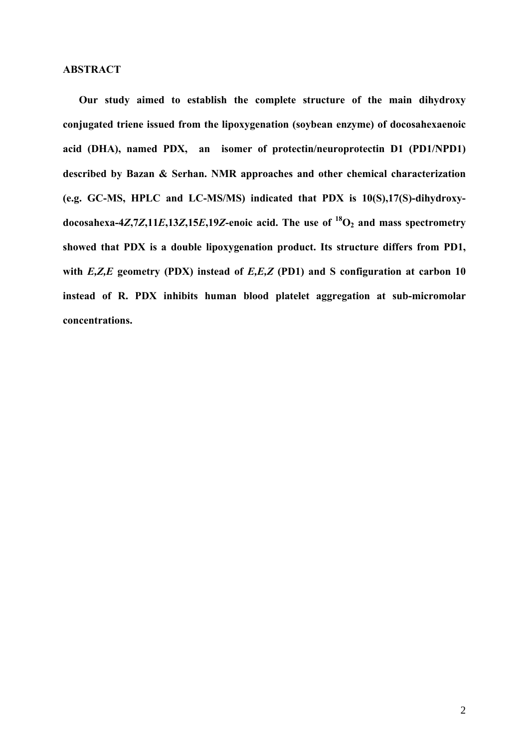#### **ABSTRACT**

**Our study aimed to establish the complete structure of the main dihydroxy conjugated triene issued from the lipoxygenation (soybean enzyme) of docosahexaenoic acid (DHA), named PDX, an isomer of protectin/neuroprotectin D1 (PD1/NPD1) described by Bazan & Serhan. NMR approaches and other chemical characterization (e.g. GC-MS, HPLC and LC-MS/MS) indicated that PDX is 10(S),17(S)-dihydroxy**docosahexa-4*Z*,7*Z*,11*E*,13*Z*,15*E*,19*Z*-enoic acid. The use of  $^{18}O_2$  and mass spectrometry **showed that PDX is a double lipoxygenation product. Its structure differs from PD1, with** *E,Z,E* **geometry (PDX) instead of** *E,E,Z* **(PD1) and S configuration at carbon 10 instead of R. PDX inhibits human blood platelet aggregation at sub-micromolar concentrations.**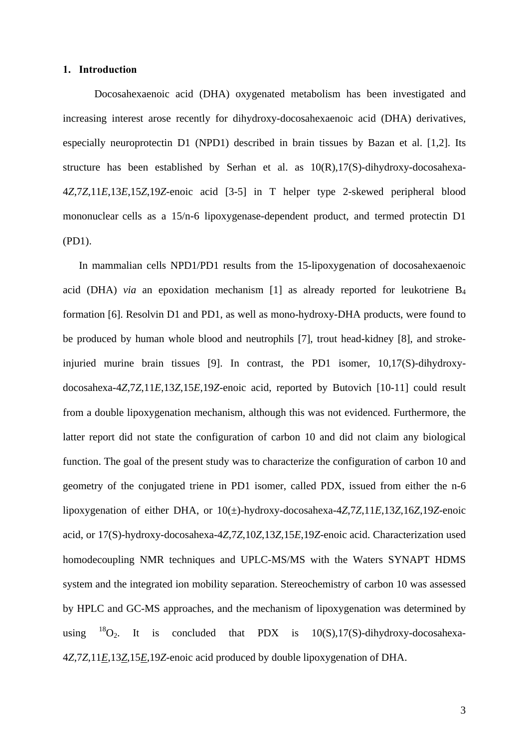#### **1. Introduction**

Docosahexaenoic acid (DHA) oxygenated metabolism has been investigated and increasing interest arose recently for dihydroxy-docosahexaenoic acid (DHA) derivatives, especially neuroprotectin D1 (NPD1) described in brain tissues by Bazan et al. [1,2]. Its structure has been established by Serhan et al. as 10(R),17(S)-dihydroxy-docosahexa-4*Z*,7*Z*,11*E*,13*E*,15*Z*,19*Z*-enoic acid [3-5] in T helper type 2-skewed peripheral blood mononuclear cells as a 15/n-6 lipoxygenase-dependent product, and termed protectin D1 (PD1).

In mammalian cells NPD1/PD1 results from the 15-lipoxygenation of docosahexaenoic acid (DHA) *via* an epoxidation mechanism [1] as already reported for leukotriene B4 formation [6]. Resolvin D1 and PD1, as well as mono-hydroxy-DHA products, were found to be produced by human whole blood and neutrophils [7], trout head-kidney [8], and strokeinjuried murine brain tissues [9]. In contrast, the PD1 isomer, 10,17(S)-dihydroxydocosahexa-4*Z*,7*Z*,11*E*,13*Z*,15*E*,19*Z*-enoic acid, reported by Butovich [10-11] could result from a double lipoxygenation mechanism, although this was not evidenced. Furthermore, the latter report did not state the configuration of carbon 10 and did not claim any biological function. The goal of the present study was to characterize the configuration of carbon 10 and geometry of the conjugated triene in PD1 isomer, called PDX, issued from either the n-6 lipoxygenation of either DHA, or 10(±)-hydroxy-docosahexa-4*Z*,7*Z*,11*E*,13*Z*,16*Z*,19*Z*-enoic acid, or 17(S)-hydroxy-docosahexa-4*Z*,7*Z*,10*Z*,13*Z*,15*E*,19*Z*-enoic acid. Characterization used homodecoupling NMR techniques and UPLC-MS/MS with the Waters SYNAPT HDMS system and the integrated ion mobility separation. Stereochemistry of carbon 10 was assessed by HPLC and GC-MS approaches, and the mechanism of lipoxygenation was determined by using  $^{18}O_2$ . It is concluded that PDX is  $10(S)$ , 17(S)-dihydroxy-docosahexa-4*Z*,7*Z*,11*E*,13*Z*,15*E*,19*Z*-enoic acid produced by double lipoxygenation of DHA.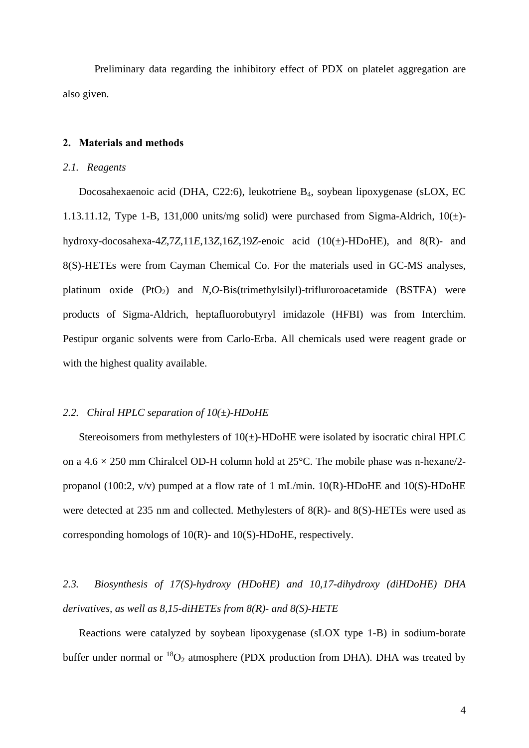Preliminary data regarding the inhibitory effect of PDX on platelet aggregation are also given.

#### **2. Materials and methods**

#### *2.1. Reagents*

Docosahexaenoic acid (DHA, C22:6), leukotriene B4, soybean lipoxygenase (sLOX, EC 1.13.11.12, Type 1-B, 131,000 units/mg solid) were purchased from Sigma-Aldrich,  $10(\pm)$ hydroxy-docosahexa-4*Z*,7*Z*,11*E*,13*Z*,16*Z*,19*Z*-enoic acid (10(±)-HDoHE), and 8(R)- and 8(S)-HETEs were from Cayman Chemical Co. For the materials used in GC-MS analyses, platinum oxide (PtO<sub>2</sub>) and *N*,*O*-Bis(trimethylsilyl)-trifluroroacetamide (BSTFA) were products of Sigma-Aldrich, heptafluorobutyryl imidazole (HFBI) was from Interchim. Pestipur organic solvents were from Carlo-Erba. All chemicals used were reagent grade or with the highest quality available.

#### *2.2. Chiral HPLC separation of 10(±)-HDoHE*

Stereoisomers from methylesters of  $10(\pm)$ -HDoHE were isolated by isocratic chiral HPLC on a  $4.6 \times 250$  mm Chiralcel OD-H column hold at  $25^{\circ}$ C. The mobile phase was n-hexane/2propanol (100:2, v/v) pumped at a flow rate of 1 mL/min. 10(R)-HDoHE and 10(S)-HDoHE were detected at 235 nm and collected. Methylesters of 8(R)- and 8(S)-HETEs were used as corresponding homologs of 10(R)- and 10(S)-HDoHE, respectively.

*2.3. Biosynthesis of 17(S)-hydroxy (HDoHE) and 10,17-dihydroxy (diHDoHE) DHA derivatives, as well as 8,15-diHETEs from 8(R)- and 8(S)-HETE* 

Reactions were catalyzed by soybean lipoxygenase (sLOX type 1-B) in sodium-borate buffer under normal or  ${}^{18}O_2$  atmosphere (PDX production from DHA). DHA was treated by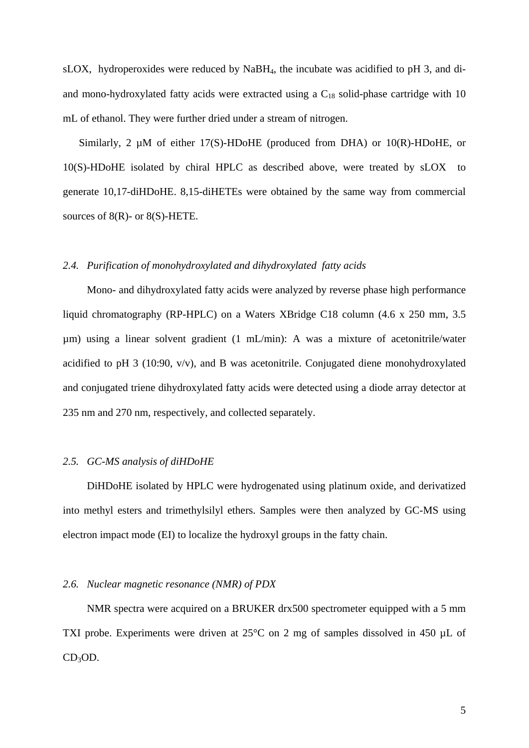sLOX, hydroperoxides were reduced by NaBH4, the incubate was acidified to pH 3, and diand mono-hydroxylated fatty acids were extracted using a  $C_{18}$  solid-phase cartridge with 10 mL of ethanol. They were further dried under a stream of nitrogen.

Similarly, 2  $\mu$ M of either 17(S)-HDoHE (produced from DHA) or 10(R)-HDoHE, or 10(S)-HDoHE isolated by chiral HPLC as described above, were treated by sLOX to generate 10,17-diHDoHE. 8,15-diHETEs were obtained by the same way from commercial sources of  $8(R)$ - or  $8(S)$ -HETE.

#### *2.4. Purification of monohydroxylated and dihydroxylated fatty acids*

Mono- and dihydroxylated fatty acids were analyzed by reverse phase high performance liquid chromatography (RP-HPLC) on a Waters XBridge C18 column (4.6 x 250 mm, 3.5 µm) using a linear solvent gradient (1 mL/min): A was a mixture of acetonitrile/water acidified to pH 3 (10:90, v/v), and B was acetonitrile. Conjugated diene monohydroxylated and conjugated triene dihydroxylated fatty acids were detected using a diode array detector at 235 nm and 270 nm, respectively, and collected separately.

#### *2.5. GC-MS analysis of diHDoHE*

DiHDoHE isolated by HPLC were hydrogenated using platinum oxide, and derivatized into methyl esters and trimethylsilyl ethers. Samples were then analyzed by GC-MS using electron impact mode (EI) to localize the hydroxyl groups in the fatty chain.

#### *2.6. Nuclear magnetic resonance (NMR) of PDX*

NMR spectra were acquired on a BRUKER drx500 spectrometer equipped with a 5 mm TXI probe. Experiments were driven at 25°C on 2 mg of samples dissolved in 450 µL of  $CD<sub>3</sub>OD.$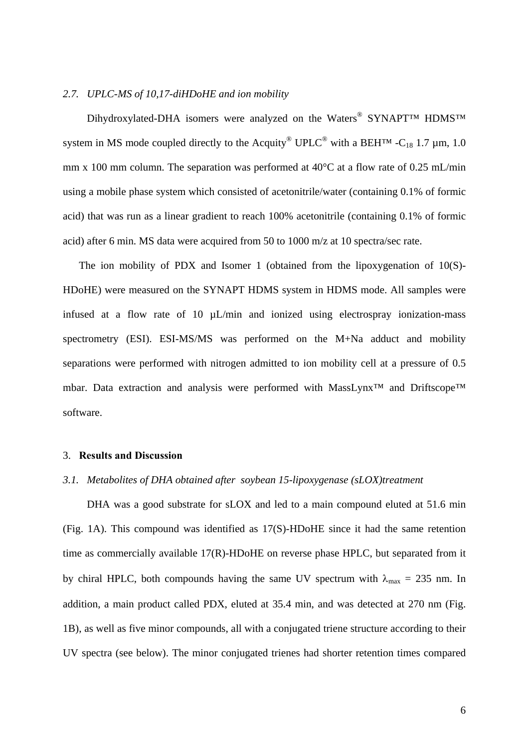#### *2.7. UPLC-MS of 10,17-diHDoHE and ion mobility*

Dihydroxylated-DHA isomers were analyzed on the Waters<sup>®</sup> SYNAPT™ HDMS<sup>™</sup> system in MS mode coupled directly to the Acquity<sup>®</sup> UPLC<sup>®</sup> with a BEH<sup>TM</sup> -C<sub>18</sub> 1.7 µm, 1.0 mm x 100 mm column. The separation was performed at 40°C at a flow rate of 0.25 mL/min using a mobile phase system which consisted of acetonitrile/water (containing 0.1% of formic acid) that was run as a linear gradient to reach 100% acetonitrile (containing 0.1% of formic acid) after 6 min. MS data were acquired from 50 to 1000 m/z at 10 spectra/sec rate.

The ion mobility of PDX and Isomer 1 (obtained from the lipoxygenation of 10(S)- HDoHE) were measured on the SYNAPT HDMS system in HDMS mode. All samples were infused at a flow rate of 10  $\mu$ L/min and ionized using electrospray ionization-mass spectrometry (ESI). ESI-MS/MS was performed on the M+Na adduct and mobility separations were performed with nitrogen admitted to ion mobility cell at a pressure of 0.5 mbar. Data extraction and analysis were performed with MassLynx™ and Driftscope™ software.

#### 3. **Results and Discussion**

#### *3.1. Metabolites of DHA obtained after soybean 15-lipoxygenase (sLOX)treatment*

DHA was a good substrate for sLOX and led to a main compound eluted at 51.6 min (Fig. 1A). This compound was identified as 17(S)-HDoHE since it had the same retention time as commercially available 17(R)-HDoHE on reverse phase HPLC, but separated from it by chiral HPLC, both compounds having the same UV spectrum with  $\lambda_{\text{max}} = 235$  nm. In addition, a main product called PDX, eluted at 35.4 min, and was detected at 270 nm (Fig. 1B), as well as five minor compounds, all with a conjugated triene structure according to their UV spectra (see below). The minor conjugated trienes had shorter retention times compared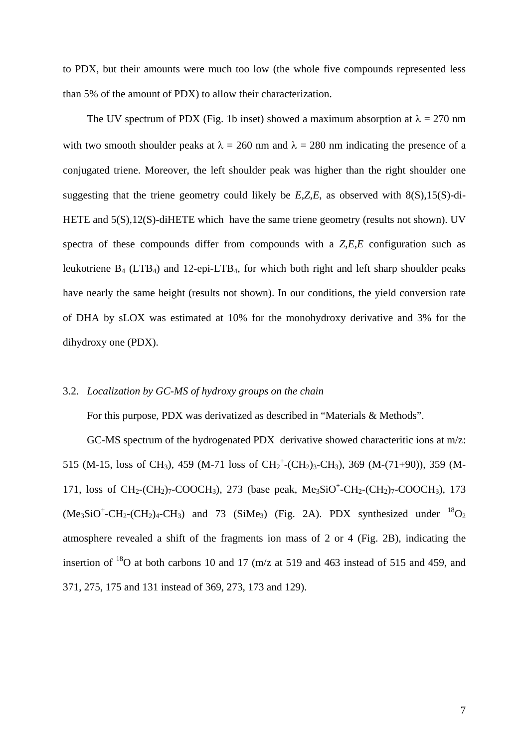to PDX, but their amounts were much too low (the whole five compounds represented less than 5% of the amount of PDX) to allow their characterization.

The UV spectrum of PDX (Fig. 1b inset) showed a maximum absorption at  $\lambda = 270$  nm with two smooth shoulder peaks at  $\lambda = 260$  nm and  $\lambda = 280$  nm indicating the presence of a conjugated triene. Moreover, the left shoulder peak was higher than the right shoulder one suggesting that the triene geometry could likely be *E*,*Z*,*E*, as observed with 8(S),15(S)-di-HETE and  $5(S)$ ,12(S)-diHETE which have the same triene geometry (results not shown). UV spectra of these compounds differ from compounds with a *Z*,*E*,*E* configuration such as leukotriene  $B_4$  (LTB<sub>4</sub>) and 12-epi-LTB<sub>4</sub>, for which both right and left sharp shoulder peaks have nearly the same height (results not shown). In our conditions, the yield conversion rate of DHA by sLOX was estimated at 10% for the monohydroxy derivative and 3% for the dihydroxy one (PDX).

#### 3.2. *Localization by GC-MS of hydroxy groups on the chain*

For this purpose, PDX was derivatized as described in "Materials & Methods".

GC-MS spectrum of the hydrogenated PDX derivative showed characteritic ions at m/z: 515 (M-15, loss of CH<sub>3</sub>), 459 (M-71 loss of CH<sub>2</sub><sup>+</sup>-(CH<sub>2</sub>)<sub>3</sub>-CH<sub>3</sub>), 369 (M-(71+90)), 359 (M-171, loss of  $CH_2$ -(CH<sub>2</sub>)<sub>7</sub>-COOCH<sub>3</sub>), 273 (base peak, Me<sub>3</sub>SiO<sup>+</sup>-CH<sub>2</sub>-(CH<sub>2</sub>)<sub>7</sub>-COOCH<sub>3</sub>), 173  $(Me<sub>3</sub>SiO<sup>+</sup>-CH<sub>2</sub>(CH<sub>2</sub>)<sub>4</sub>-CH<sub>3</sub>)$  and 73 (SiMe<sub>3</sub>) (Fig. 2A). PDX synthesized under <sup>18</sup>O<sub>2</sub> atmosphere revealed a shift of the fragments ion mass of 2 or 4 (Fig. 2B), indicating the insertion of 18O at both carbons 10 and 17 (m/z at 519 and 463 instead of 515 and 459, and 371, 275, 175 and 131 instead of 369, 273, 173 and 129).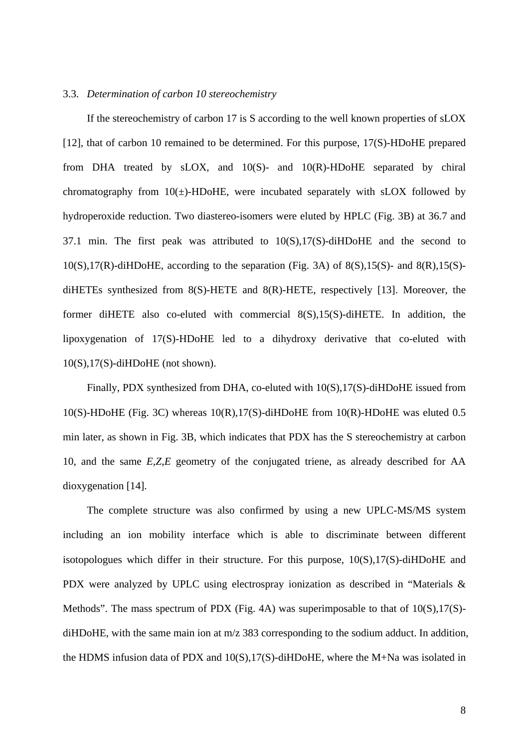#### 3.3. *Determination of carbon 10 stereochemistry*

If the stereochemistry of carbon 17 is S according to the well known properties of sLOX [12], that of carbon 10 remained to be determined. For this purpose, 17(S)-HDoHE prepared from DHA treated by sLOX, and 10(S)- and 10(R)-HDoHE separated by chiral chromatography from  $10(\pm)$ -HDoHE, were incubated separately with sLOX followed by hydroperoxide reduction. Two diastereo-isomers were eluted by HPLC (Fig. 3B) at 36.7 and 37.1 min. The first peak was attributed to 10(S),17(S)-diHDoHE and the second to  $10(S), 17(R)$ -diHDoHE, according to the separation (Fig. 3A) of 8(S),15(S)- and 8(R),15(S)diHETEs synthesized from 8(S)-HETE and 8(R)-HETE, respectively [13]. Moreover, the former diHETE also co-eluted with commercial 8(S),15(S)-diHETE. In addition, the lipoxygenation of 17(S)-HDoHE led to a dihydroxy derivative that co-eluted with 10(S),17(S)-diHDoHE (not shown).

Finally, PDX synthesized from DHA, co-eluted with  $10(S)$ , 17(S)-diHDoHE issued from 10(S)-HDoHE (Fig. 3C) whereas 10(R),17(S)-diHDoHE from 10(R)-HDoHE was eluted 0.5 min later, as shown in Fig. 3B, which indicates that PDX has the S stereochemistry at carbon 10, and the same *E*,*Z*,*E* geometry of the conjugated triene, as already described for AA dioxygenation [14].

The complete structure was also confirmed by using a new UPLC-MS/MS system including an ion mobility interface which is able to discriminate between different isotopologues which differ in their structure. For this purpose, 10(S),17(S)-diHDoHE and PDX were analyzed by UPLC using electrospray ionization as described in "Materials & Methods". The mass spectrum of PDX (Fig. 4A) was superimposable to that of 10(S),17(S) diHDoHE, with the same main ion at m/z 383 corresponding to the sodium adduct. In addition, the HDMS infusion data of PDX and 10(S),17(S)-diHDoHE, where the M+Na was isolated in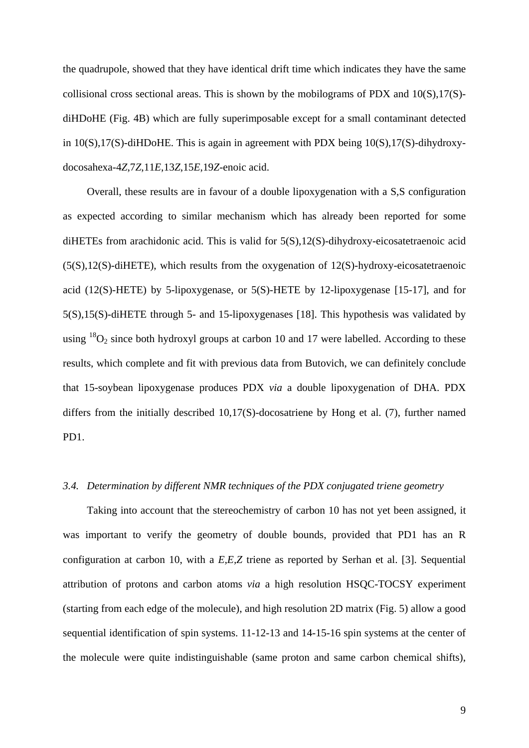the quadrupole, showed that they have identical drift time which indicates they have the same collisional cross sectional areas. This is shown by the mobilograms of PDX and 10(S),17(S) diHDoHE (Fig. 4B) which are fully superimposable except for a small contaminant detected in 10(S),17(S)-diHDoHE. This is again in agreement with PDX being 10(S),17(S)-dihydroxydocosahexa-4*Z*,7*Z*,11*E*,13*Z*,15*E*,19*Z*-enoic acid.

Overall, these results are in favour of a double lipoxygenation with a S,S configuration as expected according to similar mechanism which has already been reported for some diHETEs from arachidonic acid. This is valid for 5(S),12(S)-dihydroxy-eicosatetraenoic acid (5(S),12(S)-diHETE), which results from the oxygenation of 12(S)-hydroxy-eicosatetraenoic acid (12(S)-HETE) by 5-lipoxygenase, or  $5(S)$ -HETE by 12-lipoxygenase [15-17], and for 5(S),15(S)-diHETE through 5- and 15-lipoxygenases [18]. This hypothesis was validated by using  $^{18}O_2$  since both hydroxyl groups at carbon 10 and 17 were labelled. According to these results, which complete and fit with previous data from Butovich, we can definitely conclude that 15-soybean lipoxygenase produces PDX *via* a double lipoxygenation of DHA. PDX differs from the initially described 10,17(S)-docosatriene by Hong et al. (7), further named PD1.

#### *3.4. Determination by different NMR techniques of the PDX conjugated triene geometry*

Taking into account that the stereochemistry of carbon 10 has not yet been assigned, it was important to verify the geometry of double bounds, provided that PD1 has an R configuration at carbon 10, with a *E,E,Z* triene as reported by Serhan et al. [3]. Sequential attribution of protons and carbon atoms *via* a high resolution HSQC-TOCSY experiment (starting from each edge of the molecule), and high resolution 2D matrix (Fig. 5) allow a good sequential identification of spin systems. 11-12-13 and 14-15-16 spin systems at the center of the molecule were quite indistinguishable (same proton and same carbon chemical shifts),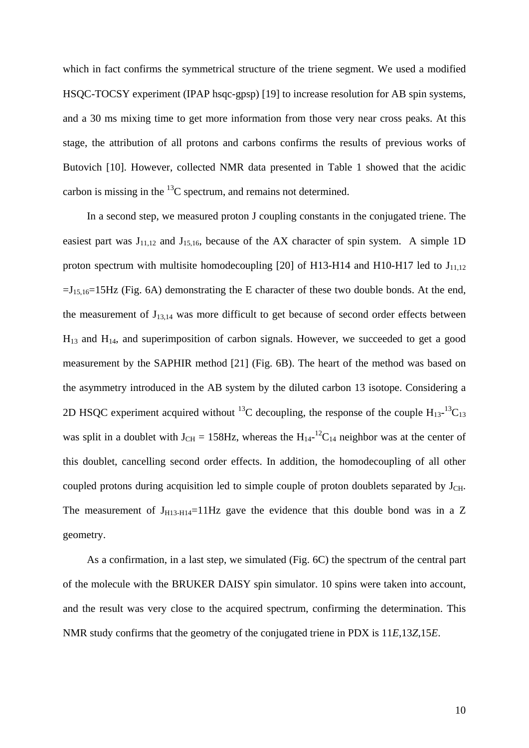which in fact confirms the symmetrical structure of the triene segment. We used a modified HSQC-TOCSY experiment (IPAP hsqc-gpsp) [19] to increase resolution for AB spin systems, and a 30 ms mixing time to get more information from those very near cross peaks. At this stage, the attribution of all protons and carbons confirms the results of previous works of Butovich [10]. However, collected NMR data presented in Table 1 showed that the acidic carbon is missing in the  ${}^{13}C$  spectrum, and remains not determined.

In a second step, we measured proton J coupling constants in the conjugated triene. The easiest part was  $J_{11,12}$  and  $J_{15,16}$ , because of the AX character of spin system. A simple 1D proton spectrum with multisite homodecoupling [20] of H13-H14 and H10-H17 led to  $J_{11,12}$  $=J_{15,16}=15Hz$  (Fig. 6A) demonstrating the E character of these two double bonds. At the end, the measurement of J<sub>13,14</sub> was more difficult to get because of second order effects between  $H_{13}$  and  $H_{14}$ , and superimposition of carbon signals. However, we succeeded to get a good measurement by the SAPHIR method [21] (Fig. 6B). The heart of the method was based on the asymmetry introduced in the AB system by the diluted carbon 13 isotope. Considering a 2D HSQC experiment acquired without <sup>13</sup>C decoupling, the response of the couple  $H_{13}$ -<sup>13</sup>C<sub>13</sub> was split in a doublet with  $J_{CH} = 158$ Hz, whereas the  $H_{14}$ -<sup>12</sup>C<sub>14</sub> neighbor was at the center of this doublet, cancelling second order effects. In addition, the homodecoupling of all other coupled protons during acquisition led to simple couple of proton doublets separated by  $J_{\text{CH}}$ . The measurement of  $J_{H13-H14}=11Hz$  gave the evidence that this double bond was in a Z geometry.

As a confirmation, in a last step, we simulated (Fig. 6C) the spectrum of the central part of the molecule with the BRUKER DAISY spin simulator. 10 spins were taken into account, and the result was very close to the acquired spectrum, confirming the determination. This NMR study confirms that the geometry of the conjugated triene in PDX is 11*E*,13*Z*,15*E*.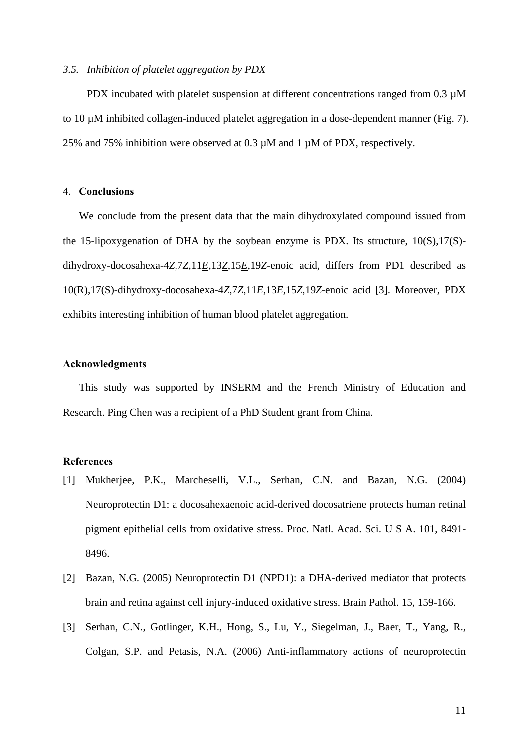#### *3.5. Inhibition of platelet aggregation by PDX*

PDX incubated with platelet suspension at different concentrations ranged from 0.3  $\mu$ M to 10 µM inhibited collagen-induced platelet aggregation in a dose-dependent manner (Fig. 7). 25% and 75% inhibition were observed at 0.3 µM and 1 µM of PDX, respectively.

#### 4. **Conclusions**

We conclude from the present data that the main dihydroxylated compound issued from the 15-lipoxygenation of DHA by the soybean enzyme is PDX. Its structure, 10(S),17(S) dihydroxy-docosahexa-4*Z*,7*Z*,11*E*,13*Z*,15*E*,19*Z*-enoic acid, differs from PD1 described as 10(R),17(S)-dihydroxy-docosahexa-4*Z*,7*Z*,11*E*,13*E*,15*Z*,19*Z*-enoic acid [3]. Moreover, PDX exhibits interesting inhibition of human blood platelet aggregation.

#### **Acknowledgments**

This study was supported by INSERM and the French Ministry of Education and Research. Ping Chen was a recipient of a PhD Student grant from China.

#### **References**

- [1] Mukherjee, P.K., Marcheselli, V.L., Serhan, C.N. and Bazan, N.G. (2004) Neuroprotectin D1: a docosahexaenoic acid-derived docosatriene protects human retinal pigment epithelial cells from oxidative stress. Proc. Natl. Acad. Sci. U S A. 101, 8491- 8496.
- [2] Bazan, N.G. (2005) Neuroprotectin D1 (NPD1): a DHA-derived mediator that protects brain and retina against cell injury-induced oxidative stress. Brain Pathol. 15, 159-166.
- [3] Serhan, C.N., Gotlinger, K.H., Hong, S., Lu, Y., Siegelman, J., Baer, T., Yang, R., Colgan, S.P. and Petasis, N.A. (2006) Anti-inflammatory actions of neuroprotectin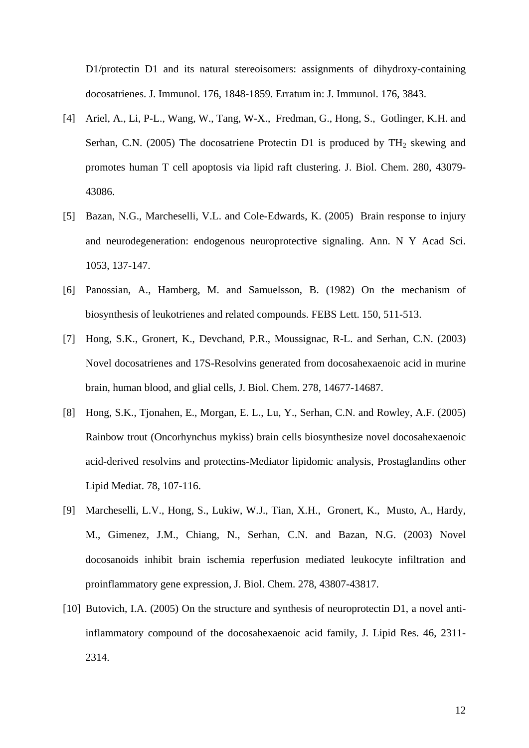D1/protectin D1 and its natural stereoisomers: assignments of dihydroxy-containing docosatrienes. J. Immunol. 176, 1848-1859. Erratum in: J. Immunol. 176, 3843.

- [4] Ariel, A., Li, P-L., Wang, W., Tang, W-X., Fredman, G., Hong, S., Gotlinger, K.H. and Serhan, C.N. (2005) The docosatriene Protectin D1 is produced by  $TH_2$  skewing and promotes human T cell apoptosis via lipid raft clustering. J. Biol. Chem. 280, 43079- 43086.
- [5] Bazan, N.G., Marcheselli, V.L. and Cole-Edwards, K. (2005) Brain response to injury and neurodegeneration: endogenous neuroprotective signaling. Ann. N Y Acad Sci. 1053, 137-147.
- [6] Panossian, A., Hamberg, M. and Samuelsson, B. (1982) On the mechanism of biosynthesis of leukotrienes and related compounds. FEBS Lett. 150, 511-513.
- [7] Hong, S.K., Gronert, K., Devchand, P.R., Moussignac, R-L. and Serhan, C.N. (2003) Novel docosatrienes and 17S-Resolvins generated from docosahexaenoic acid in murine brain, human blood, and glial cells, J. Biol. Chem. 278, 14677-14687.
- [8] Hong, S.K., Tjonahen, E., Morgan, E. L., Lu, Y., Serhan, C.N. and Rowley, A.F. (2005) Rainbow trout (Oncorhynchus mykiss) brain cells biosynthesize novel docosahexaenoic acid-derived resolvins and protectins-Mediator lipidomic analysis, Prostaglandins other Lipid Mediat. 78, 107-116.
- [9] Marcheselli, L.V., Hong, S., Lukiw, W.J., Tian, X.H., Gronert, K., Musto, A., Hardy, M., Gimenez, J.M., Chiang, N., Serhan, C.N. and Bazan, N.G. (2003) Novel docosanoids inhibit brain ischemia reperfusion mediated leukocyte infiltration and proinflammatory gene expression, J. Biol. Chem. 278, 43807-43817.
- [10] Butovich, I.A. (2005) On the structure and synthesis of neuroprotectin D1, a novel antiinflammatory compound of the docosahexaenoic acid family, J. Lipid Res. 46, 2311- 2314.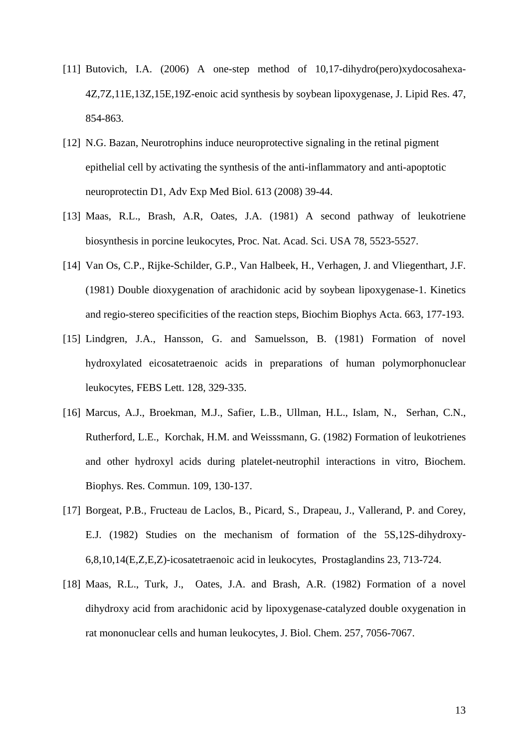- [11] Butovich, I.A. (2006) A one-step method of 10,17-dihydro(pero)xydocosahexa-4Z,7Z,11E,13Z,15E,19Z-enoic acid synthesis by soybean lipoxygenase, J. Lipid Res. 47, 854-863.
- [12] N.G. Bazan, Neurotrophins induce neuroprotective signaling in the retinal pigment epithelial cell by activating the synthesis of the anti-inflammatory and anti-apoptotic neuroprotectin D1, Adv Exp Med Biol. 613 (2008) 39-44.
- [13] Maas, R.L., Brash, A.R, Oates, J.A. (1981) A second pathway of leukotriene biosynthesis in porcine leukocytes, Proc. Nat. Acad. Sci. USA 78, 5523-5527.
- [14] Van Os, C.P., Rijke-Schilder, G.P., Van Halbeek, H., Verhagen, J. and Vliegenthart, J.F. (1981) Double dioxygenation of arachidonic acid by soybean lipoxygenase-1. Kinetics and regio-stereo specificities of the reaction steps, Biochim Biophys Acta. 663, 177-193.
- [15] Lindgren, J.A., Hansson, G. and Samuelsson, B. (1981) Formation of novel hydroxylated eicosatetraenoic acids in preparations of human polymorphonuclear leukocytes, FEBS Lett. 128, 329-335.
- [16] Marcus, A.J., Broekman, M.J., Safier, L.B., Ullman, H.L., Islam, N., Serhan, C.N., Rutherford, L.E., Korchak, H.M. and Weisssmann, G. (1982) Formation of leukotrienes and other hydroxyl acids during platelet-neutrophil interactions in vitro, Biochem. Biophys. Res. Commun. 109, 130-137.
- [17] Borgeat, P.B., Fructeau de Laclos, B., Picard, S., Drapeau, J., Vallerand, P. and Corey, E.J. (1982) Studies on the mechanism of formation of the 5S,12S-dihydroxy-6,8,10,14(E,Z,E,Z)-icosatetraenoic acid in leukocytes, Prostaglandins 23, 713-724.
- [18] Maas, R.L., Turk, J., Oates, J.A. and Brash, A.R. (1982) Formation of a novel dihydroxy acid from arachidonic acid by lipoxygenase-catalyzed double oxygenation in rat mononuclear cells and human leukocytes, J. Biol. Chem. 257, 7056-7067.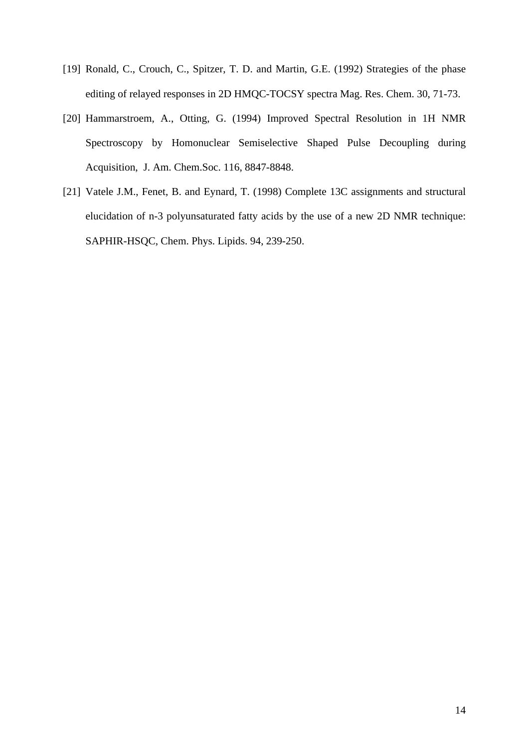- [19] Ronald, C., Crouch, C., Spitzer, T. D. and Martin, G.E. (1992) Strategies of the phase editing of relayed responses in 2D HMQC-TOCSY spectra Mag. Res. Chem. 30, 71-73.
- [20] Hammarstroem, A., Otting, G. (1994) Improved Spectral Resolution in 1H NMR Spectroscopy by Homonuclear Semiselective Shaped Pulse Decoupling during Acquisition, J. Am. Chem.Soc. 116, 8847-8848.
- [21] Vatele J.M., Fenet, B. and Eynard, T. (1998) Complete 13C assignments and structural elucidation of n-3 polyunsaturated fatty acids by the use of a new 2D NMR technique: SAPHIR-HSQC, Chem. Phys. Lipids. 94, 239-250.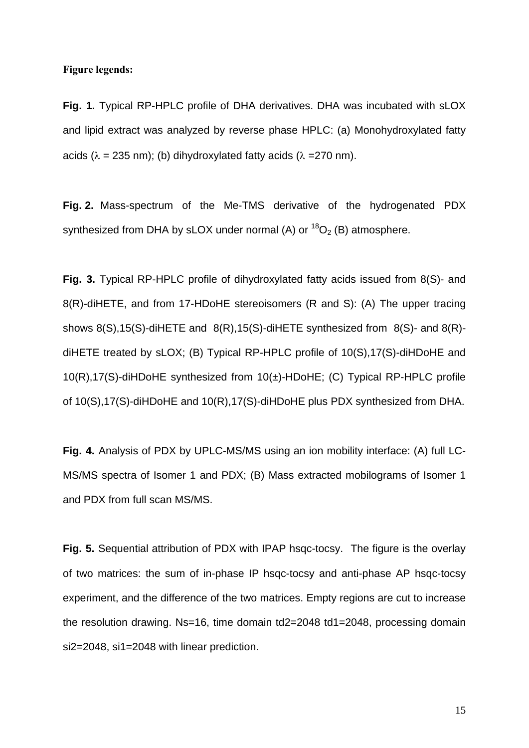#### **Figure legends:**

**Fig. 1.** Typical RP-HPLC profile of DHA derivatives. DHA was incubated with sLOX and lipid extract was analyzed by reverse phase HPLC: (a) Monohydroxylated fatty acids ( $\lambda = 235$  nm); (b) dihydroxylated fatty acids ( $\lambda = 270$  nm).

**Fig. 2.** Mass-spectrum of the Me-TMS derivative of the hydrogenated PDX synthesized from DHA by sLOX under normal (A) or  ${}^{18}O_2$  (B) atmosphere.

**Fig. 3.** Typical RP-HPLC profile of dihydroxylated fatty acids issued from 8(S)- and 8(R)-diHETE, and from 17-HDoHE stereoisomers (R and S): (A) The upper tracing shows 8(S),15(S)-diHETE and 8(R),15(S)-diHETE synthesized from 8(S)- and 8(R) diHETE treated by sLOX; (B) Typical RP-HPLC profile of 10(S),17(S)-diHDoHE and 10(R),17(S)-diHDoHE synthesized from 10(±)-HDoHE; (C) Typical RP-HPLC profile of 10(S),17(S)-diHDoHE and 10(R),17(S)-diHDoHE plus PDX synthesized from DHA.

**Fig. 4.** Analysis of PDX by UPLC-MS/MS using an ion mobility interface: (A) full LC-MS/MS spectra of Isomer 1 and PDX; (B) Mass extracted mobilograms of Isomer 1 and PDX from full scan MS/MS.

**Fig. 5.** Sequential attribution of PDX with IPAP hsqc-tocsy.The figure is the overlay of two matrices: the sum of in-phase IP hsqc-tocsy and anti-phase AP hsqc-tocsy experiment, and the difference of the two matrices. Empty regions are cut to increase the resolution drawing. Ns=16, time domain td2=2048 td1=2048, processing domain si2=2048, si1=2048 with linear prediction.

15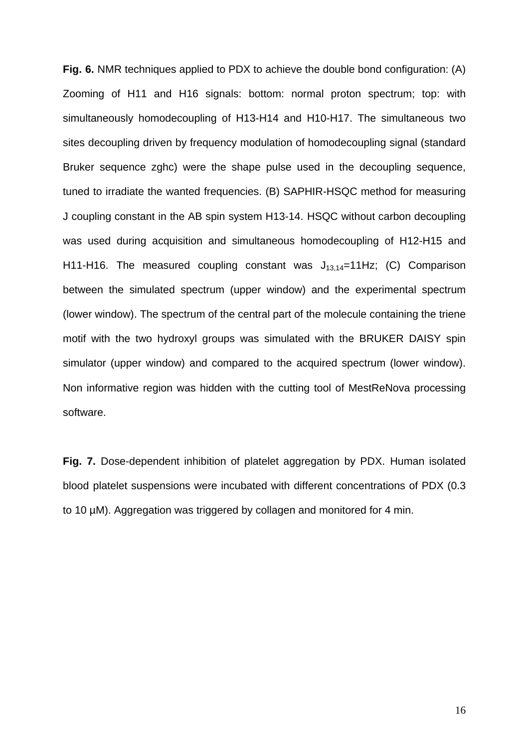**Fig. 6.** NMR techniques applied to PDX to achieve the double bond configuration: (A) Zooming of H11 and H16 signals: bottom: normal proton spectrum; top: with simultaneously homodecoupling of H13-H14 and H10-H17. The simultaneous two sites decoupling driven by frequency modulation of homodecoupling signal (standard Bruker sequence zghc) were the shape pulse used in the decoupling sequence, tuned to irradiate the wanted frequencies. (B) SAPHIR-HSQC method for measuring J coupling constant in the AB spin system H13-14. HSQC without carbon decoupling was used during acquisition and simultaneous homodecoupling of H12-H15 and H11-H16. The measured coupling constant was  $J_{13,14}=11$ Hz; (C) Comparison between the simulated spectrum (upper window) and the experimental spectrum (lower window). The spectrum of the central part of the molecule containing the triene motif with the two hydroxyl groups was simulated with the BRUKER DAISY spin simulator (upper window) and compared to the acquired spectrum (lower window). Non informative region was hidden with the cutting tool of MestReNova processing software.

**Fig. 7.** Dose-dependent inhibition of platelet aggregation by PDX. Human isolated blood platelet suspensions were incubated with different concentrations of PDX (0.3 to 10 µM). Aggregation was triggered by collagen and monitored for 4 min.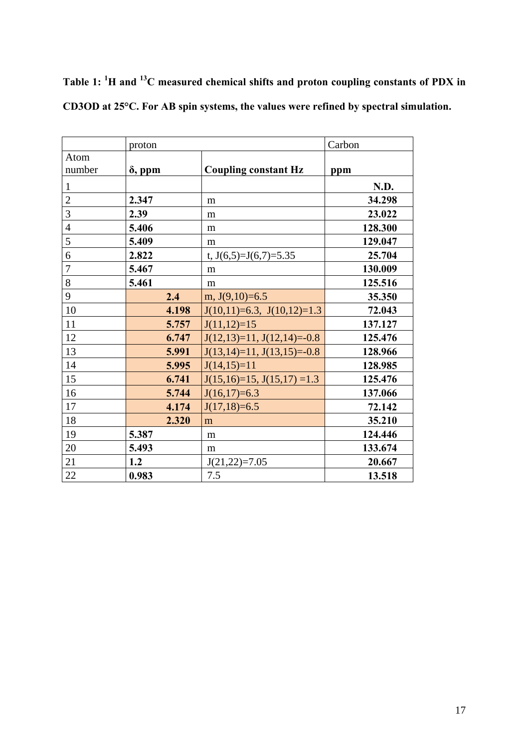|                | proton         |                                 | Carbon  |
|----------------|----------------|---------------------------------|---------|
| Atom<br>number | $\delta$ , ppm | <b>Coupling constant Hz</b>     | ppm     |
| $\mathbf{1}$   |                |                                 | N.D.    |
| $\overline{c}$ | 2.347          | m                               | 34.298  |
| 3              | 2.39           | m                               | 23.022  |
| $\overline{4}$ | 5.406          | m                               | 128.300 |
| 5              | 5.409          | m                               | 129.047 |
| 6              | 2.822          | t, $J(6,5)=J(6,7)=5.35$         | 25.704  |
| $\overline{7}$ | 5.467          | m                               | 130.009 |
| 8              | 5.461          | m                               | 125.516 |
| 9              | 2.4            | m, $J(9,10)=6.5$                | 35.350  |
| 10             | 4.198          | $J(10,11)=6.3$ , $J(10,12)=1.3$ | 72.043  |
| 11             | 5.757          | $J(11,12)=15$                   | 137.127 |
| 12             | 6.747          | $J(12,13)=11$ , $J(12,14)=0.8$  | 125.476 |
| 13             | 5.991          | $J(13,14)=11$ , $J(13,15)=0.8$  | 128.966 |
| 14             | 5.995          | $J(14,15)=11$                   | 128.985 |
| 15             | 6.741          | $J(15,16)=15$ , $J(15,17)=1.3$  | 125.476 |
| 16             | 5.744          | $J(16,17)=6.3$                  | 137.066 |
| 17             | 4.174          | $J(17,18)=6.5$                  | 72.142  |
| 18             | 2.320          | m                               | 35.210  |
| 19             | 5.387          | m                               | 124.446 |
| 20             | 5.493          | m                               | 133.674 |
| 21             | 1.2            | $J(21,22)=7.05$                 | 20.667  |
| 22             | 0.983          | 7.5                             | 13.518  |

**Table 1: <sup>1</sup> H and 13C measured chemical shifts and proton coupling constants of PDX in CD3OD at 25°C. For AB spin systems, the values were refined by spectral simulation.**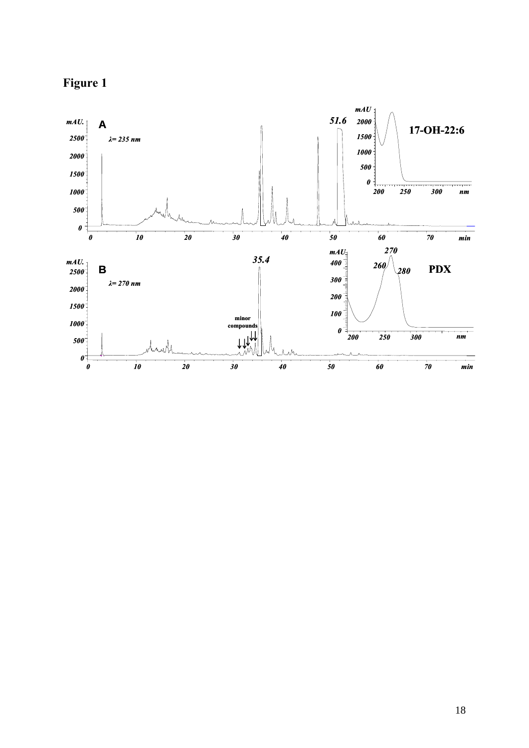

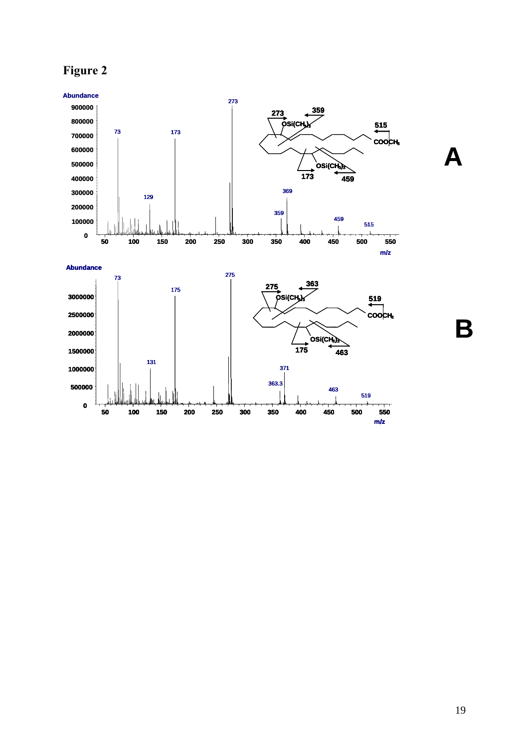



**B**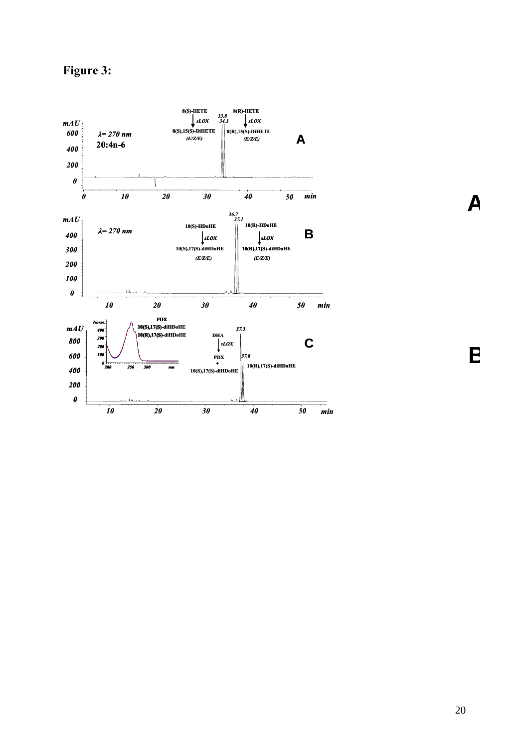**Figure 3:** 



**B**

**A**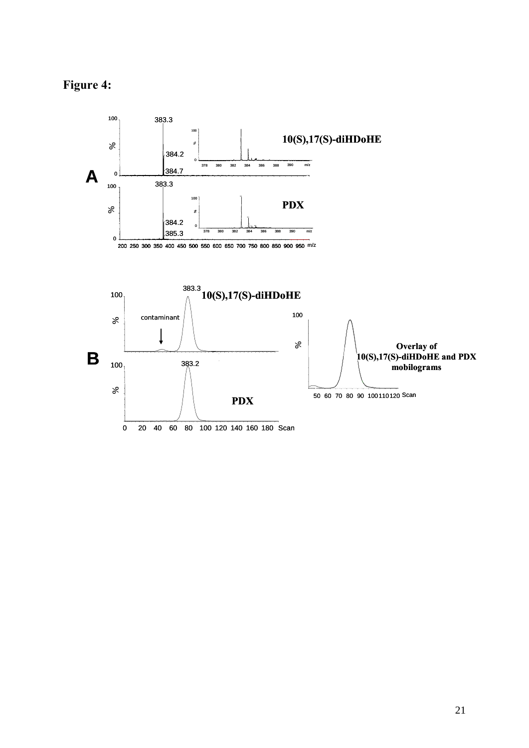

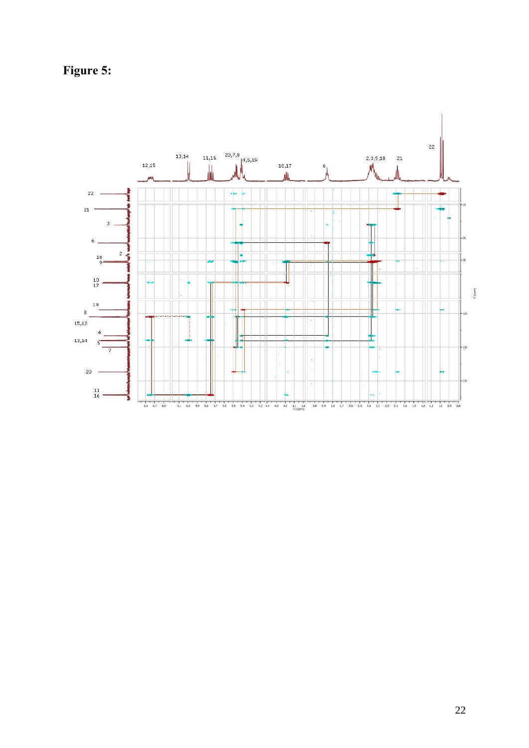**Figure 5:**